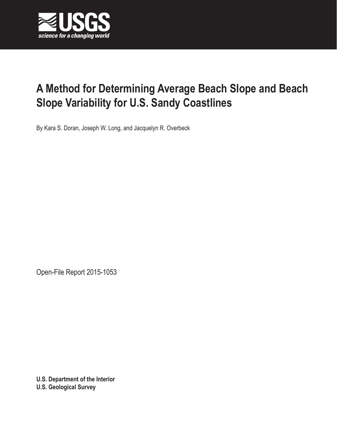

# **A Method for Determining Average Beach Slope and Beach Slope Variability for U.S. Sandy Coastlines**

By Kara S. Doran, Joseph W. Long, and Jacquelyn R. Overbeck

Open-File Report 2015-1053

**U.S. Department of the Interior U.S. Geological Survey**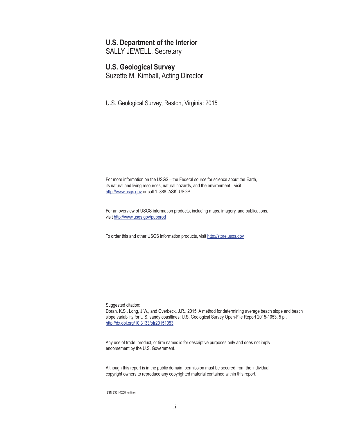#### **U.S. Department of the Interior**

SALLY JEWELL, Secretary

#### **U.S. Geological Survey**

Suzette M. Kimball, Acting Director

U.S. Geological Survey, Reston, Virginia: 2015

For more information on the USGS—the Federal source for science about the Earth, its natural and living resources, natural hazards, and the environment—visit <http://www.usgs.gov> or call 1–888–ASK–USGS

For an overview of USGS information products, including maps, imagery, and publications, visit <http://www.usgs.gov/pubprod>

To order this and other USGS information products, visit <http://store.usgs.gov>

Suggested citation:

Doran, K.S., Long, J.W., and Overbeck, J.R., 2015, A method for determining average beach slope and beach slope variability for U.S. sandy coastlines: U.S. Geological Survey Open-File Report 2015-1053, 5 p., <http://dx.doi.org/10.3133/ofr20151053>.

Any use of trade, product, or firm names is for descriptive purposes only and does not imply endorsement by the U.S. Government.

Although this report is in the public domain, permission must be secured from the individual copyright owners to reproduce any copyrighted material contained within this report.

ISSN 2331-1258 (online)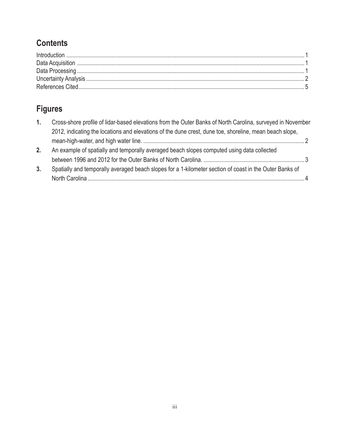### **Contents**

## **Figures**

| 1. | Cross-shore profile of lidar-based elevations from the Outer Banks of North Carolina, surveyed in November |  |
|----|------------------------------------------------------------------------------------------------------------|--|
|    | 2012, indicating the locations and elevations of the dune crest, dune toe, shoreline, mean beach slope,    |  |
|    |                                                                                                            |  |
| 2. | An example of spatially and temporally averaged beach slopes computed using data collected                 |  |
|    |                                                                                                            |  |
| 3. | Spatially and temporally averaged beach slopes for a 1-kilometer section of coast in the Outer Banks of    |  |
|    |                                                                                                            |  |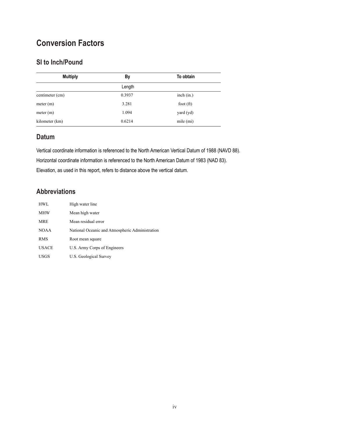### **Conversion Factors**

#### **SI to Inch/Pound**

| <b>Multiply</b> | By     | To obtain   |
|-----------------|--------|-------------|
|                 | Length |             |
| centimeter (cm) | 0.3937 | inch (in.)  |
| meter (m)       | 3.281  | foot $(ft)$ |
| meter (m)       | 1.094  | yard (yd)   |
| kilometer (km)  | 0.6214 | mile (mi)   |

#### **Datum**

Vertical coordinate information is referenced to the North American Vertical Datum of 1988 (NAVD 88). Horizontal coordinate information is referenced to the North American Datum of 1983 (NAD 83). Elevation, as used in this report, refers to distance above the vertical datum.

#### **Abbreviations**

| <b>HWL</b>   | High water line                                 |
|--------------|-------------------------------------------------|
| <b>MHW</b>   | Mean high water                                 |
| <b>MRE</b>   | Mean residual error                             |
| <b>NOAA</b>  | National Oceanic and Atmospheric Administration |
| <b>RMS</b>   | Root mean square                                |
| <b>USACE</b> | U.S. Army Corps of Engineers                    |
| USGS         | U.S. Geological Survey                          |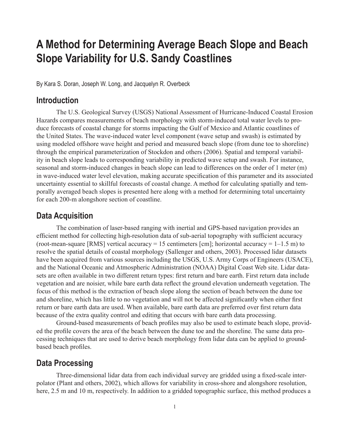## <span id="page-4-0"></span>**A Method for Determining Average Beach Slope and Beach Slope Variability for U.S. Sandy Coastlines**

By Kara S. Doran, Joseph W. Long, and Jacquelyn R. Overbeck

#### **Introduction**

The U.S. Geological Survey (USGS) National Assessment of Hurricane-Induced Coastal Erosion Hazards compares measurements of beach morphology with storm-induced total water levels to produce forecasts of coastal change for storms impacting the Gulf of Mexico and Atlantic coastlines of the United States. The wave-induced water level component (wave setup and swash) is estimated by using modeled offshore wave height and period and measured beach slope (from dune toe to shoreline) through the empirical parameterization of Stockdon and others (2006). Spatial and temporal variability in beach slope leads to corresponding variability in predicted wave setup and swash. For instance, seasonal and storm-induced changes in beach slope can lead to differences on the order of 1 meter (m) in wave-induced water level elevation, making accurate specification of this parameter and its associated uncertainty essential to skillful forecasts of coastal change. A method for calculating spatially and temporally averaged beach slopes is presented here along with a method for determining total uncertainty for each 200-m alongshore section of coastline.

#### **Data Acquisition**

The combination of laser-based ranging with inertial and GPS-based navigation provides an efficient method for collecting high-resolution data of sub-aerial topography with sufficient accuracy (root-mean-square [RMS] vertical accuracy = 15 centimeters [cm]; horizontal accuracy =  $1-1.5$  m) to resolve the spatial details of coastal morphology (Sallenger and others, 2003). Processed lidar datasets have been acquired from various sources including the USGS, U.S. Army Corps of Engineers (USACE), and the National Oceanic and Atmospheric Administration (NOAA) Digital Coast Web site. Lidar datasets are often available in two different return types: first return and bare earth. First return data include vegetation and are noisier, while bare earth data reflect the ground elevation underneath vegetation. The focus of this method is the extraction of beach slope along the section of beach between the dune toe and shoreline, which has little to no vegetation and will not be affected significantly when either first return or bare earth data are used. When available, bare earth data are preferred over first return data because of the extra quality control and editing that occurs with bare earth data processing.

Ground-based measurements of beach profiles may also be used to estimate beach slope, provided the profile covers the area of the beach between the dune toe and the shoreline. The same data processing techniques that are used to derive beach morphology from lidar data can be applied to groundbased beach profiles.

#### **Data Processing**

Three-dimensional lidar data from each individual survey are gridded using a fixed-scale interpolator (Plant and others, 2002), which allows for variability in cross-shore and alongshore resolution, here, 2.5 m and 10 m, respectively. In addition to a gridded topographic surface, this method produces a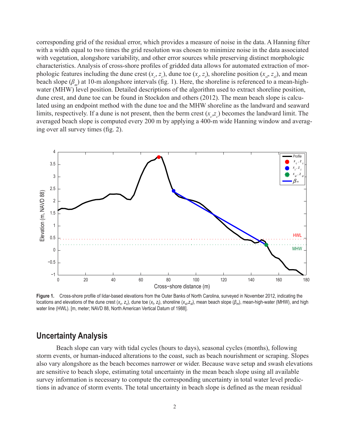<span id="page-5-0"></span>corresponding grid of the residual error, which provides a measure of noise in the data. A Hanning filter with a width equal to two times the grid resolution was chosen to minimize noise in the data associated with vegetation, alongshore variability, and other error sources while preserving distinct morphologic characteristics. Analysis of cross-shore profiles of gridded data allows for automated extraction of morphologic features including the dune crest  $(x_c, z_c)$ , dune toe  $(x_t, z_t)$ , shoreline position  $(x_{s,t}, z_{s,t})$ , and mean beach slope  $(\beta_m)$  at 10-m alongshore intervals (fig. 1). Here, the shoreline is referenced to a mean-highwater (MHW) level position. Detailed descriptions of the algorithm used to extract shoreline position, dune crest, and dune toe can be found in Stockdon and others (2012). The mean beach slope is calculated using an endpoint method with the dune toe and the MHW shoreline as the landward and seaward limits, respectively. If a dune is not present, then the berm crest  $(x_c, z_c)$  becomes the landward limit. The averaged beach slope is computed every 200 m by applying a 400-m wide Hanning window and averaging over all survey times (fig. 2).



**Figure 1.** Cross-shore profile of lidar-based elevations from the Outer Banks of North Carolina, surveyed in November 2012, indicating the locations and elevations of the dune crest (*x<sub>c</sub>, z<sub>c</sub>*), dune toe (*x<sub>t</sub>, z<sub>t</sub>),* shoreline (*x<sub>s</sub>,z<sub>s</sub>),* mean beach slope (β<sub>m</sub>), mean-high-water (MHW), and high water line (HWL). [m, meter; NAVD 88, North American Vertical Datum of 1988].

#### **Uncertainty Analysis**

Beach slope can vary with tidal cycles (hours to days), seasonal cycles (months), following storm events, or human-induced alterations to the coast, such as beach nourishment or scraping. Slopes also vary alongshore as the beach becomes narrower or wider. Because wave setup and swash elevations are sensitive to beach slope, estimating total uncertainty in the mean beach slope using all available survey information is necessary to compute the corresponding uncertainty in total water level predictions in advance of storm events. The total uncertainty in beach slope is defined as the mean residual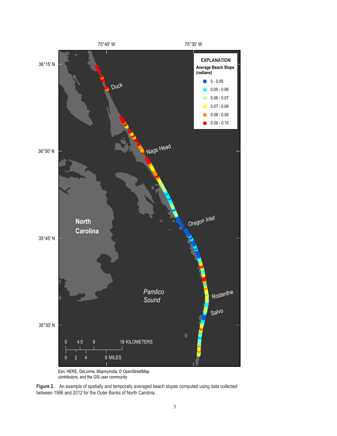<span id="page-6-0"></span>

Esri, HERE, DeLorme, MapmyIndia, © OpenStreetMap contributors, and the GIS user community

**Figure 2.** An example of spatially and temporally averaged beach slopes computed using data collected between 1996 and 2012 for the Outer Banks of North Carolina.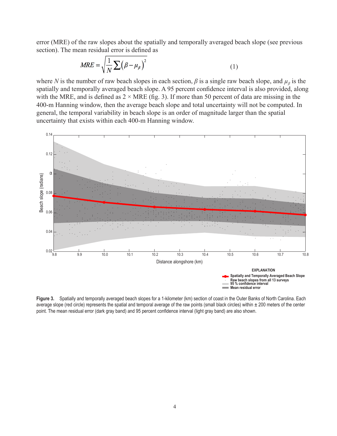<span id="page-7-0"></span>error (MRE) of the raw slopes about the spatially and temporally averaged beach slope (see previous section). The mean residual error is defined as

$$
MRE = \sqrt{\frac{1}{N} \sum (\beta - \mu_{\beta})^2}
$$
 (1)

where *N* is the number of raw beach slopes in each section,  $\beta$  is a single raw beach slope, and  $\mu_{\beta}$  is the spatially and temporally averaged beach slope. A 95 percent confidence interval is also provided, along with the MRE, and is defined as  $2 \times MRE$  (fig. 3). If more than 50 percent of data are missing in the 400-m Hanning window, then the average beach slope and total uncertainty will not be computed. In general, the temporal variability in beach slope is an order of magnitude larger than the spatial uncertainty that exists within each 400-m Hanning window.



**Figure 3.** Spatially and temporally averaged beach slopes for a 1-kilometer (km) section of coast in the Outer Banks of North Carolina. Each average slope (red circle) represents the spatial and temporal average of the raw points (small black circles) within  $\pm$  200 meters of the center point. The mean residual error (dark gray band) and 95 percent confidence interval (light gray band) are also shown.